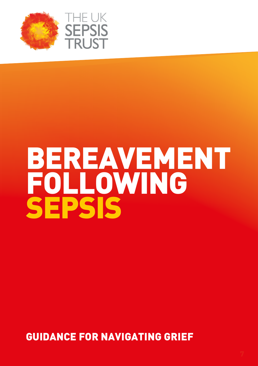



# BEREAVEMENT FOLLOWING SEPSIS

GUIDANCE FOR NAVIGATING GRIEF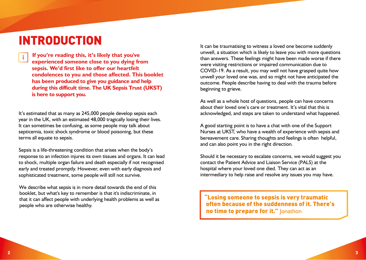# INTRODUCTION

**If you're reading this, it's likely that you've experienced someone close to you dying from sepsis. We'd first like to offer our heartfelt condolences to you and those affected. This booklet has been produced to give you guidance and help during this difficult time. The UK Sepsis Trust (UKST) is here to support you.**

It's estimated that as many as 245,000 people develop sepsis each year in the UK, with an estimated 48,000 tragically losing their lives. It can sometimes be confusing, as some people may talk about septicemia, toxic shock syndrome or blood poisoning, but these terms all equate to sepsis.

Sepsis is a life-threatening condition that arises when the body's response to an infection injures its own tissues and organs. It can lead to shock, multiple organ failure and death especially if not recognised early and treated promptly. However, even with early diagnosis and sophisticated treatment, some people will still not survive.

We describe what sepsis is in more detail towards the end of this booklet, but what's key to remember is that it's indiscriminate, in that it can affect people with underlying health problems as well as people who are otherwise healthy.

It can be traumatising to witness a loved one become suddenly unwell, a situation which is likely to leave you with more questions than answers. These feelings might have been made worse if there were visiting restrictions or impaired communication due to COVID-19. As a result, you may well not have grasped quite how unwell your loved one was, and so might not have anticipated the outcome. People describe having to deal with the trauma before beginning to grieve.

As well as a whole host of questions, people can have concerns about their loved one's care or treatment. It's vital that this is acknowledged, and steps are taken to understand what happened.

A good starting point is to have a chat with one of the Support Nurses at UKST, who have a wealth of experience with sepsis and bereavement care. Sharing thoughts and feelings is often helpful, and can also point you in the right direction.

Should it be necessary to escalate concerns, we would suggest you contact the Patient Advice and Liaison Service (PALS) at the hospital where your loved one died. They can act as an intermediary to help raise and resolve any issues you may have.

"Losing someone to sepsis is very traumatic often because of the suddenness of it. There's no time to prepare for it." Jonathon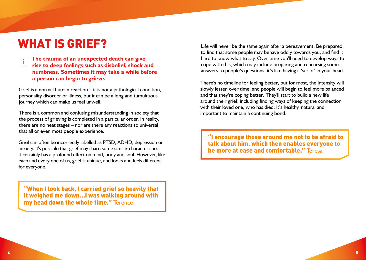# WHAT IS GRIEF?

**The trauma of an unexpected death can give rise to deep feelings such as disbelief, shock and numbness. Sometimes it may take a while before a person can begin to grieve.**

Grief is a normal human reaction – it is not a pathological condition, personality disorder or illness, but it can be a long and tumultuous journey which can make us feel unwell.

There is a common and confusing misunderstanding in society that the process of grieving is completed in a particular order. In reality, there are no neat stages – nor are there any reactions so universal that all or even most people experience.

Grief can often be incorrectly labelled as PTSD, ADHD, depression or anxiety. It's possible that grief may share some similar characteristics – it certainly has a profound effect on mind, body and soul. However, like each and every one of us, grief is unique, and looks and feels different for everyone.

"When I look back, I carried grief so heavily that it weighed me down…I was walking around with my head down the whole time." Terence

Life will never be the same again after a bereavement. Be prepared to find that some people may behave oddly towards you, and find it hard to know what to say. Over time you'll need to develop ways to cope with this, which may include preparing and rehearsing some answers to people's questions, it's like having a 'script' in your head.

There's no timeline for feeling better, but for most, the intensity will slowly lessen over time, and people will begin to feel more balanced and that they're coping better. They'll start to build a new life around their grief, including finding ways of keeping the connection with their loved one, who has died. It's healthy, natural and important to maintain a continuing bond.

"I encourage those around me not to be afraid to talk about him, which then enables everyone to be more at ease and comfortable." Teresa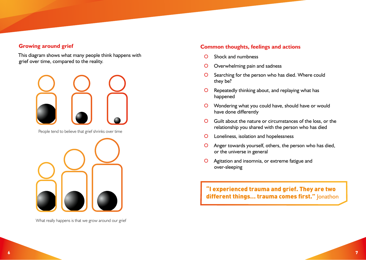### **Growing around grief**

This diagram shows what many people think happens with grief over time, compared to the reality.



People tend to believe that grief shrinks over time



What really happens is that we grow around our grief

#### **Common thoughts, feelings and actions**

- | Shock and numbness
- O Overwhelming pain and sadness
- O Searching for the person who has died. Where could they be?
- **O** Repeatedly thinking about, and replaying what has happened
- **O** Wondering what you could have, should have or would have done differently
- | Guilt about the nature or circumstances of the loss, or the relationship you shared with the person who has died
- | Loneliness, isolation and hopelessness
- O Anger towards yourself, others, the person who has died, or the universe in general
- O Agitation and insomnia, or extreme fatigue and over-sleeping

"I experienced trauma and grief. They are two different things... trauma comes first." Jonathon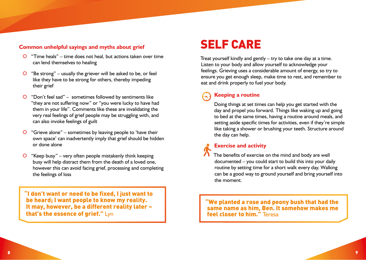### **Common unhelpful sayings and myths about grief**

- $\overline{O}$  "Time heals" time does not heal, but actions taken over time can lend themselves to healing
- $\overline{O}$  "Be strong" usually the griever will be asked to be, or feel like they have to be strong for others, thereby impeding their grief
- $\overline{O}$  "Don't feel sad" sometimes followed by sentiments like "they are not suffering now" or "you were lucky to have had them in your life". Comments like these are invalidating the very real feelings of grief people may be struggling with, and can also invoke feelings of guilt
- $\overline{O}$  "Grieve alone" sometimes by leaving people to 'have their own space' can inadvertently imply that grief should be hidden or done alone
- $\overline{O}$  "Keep busy" very often people mistakenly think keeping busy will help distract them from the death of a loved one, however this can avoid facing grief, processing and completing the feelings of loss

"I don't want or need to be fixed, I just want to be heard; I want people to know my reality. It may, however, be a different reality later – that's the essence of grief." Lyn

# SELF CARE

Treat yourself kindly and gently – try to take one day at a time. Listen to your body and allow yourself to acknowledge your feelings. Grieving uses a considerable amount of energy, so try to ensure you get enough sleep, make time to rest, and remember to eat and drink properly to fuel your body.

# **Keeping a routine**

Doing things at set times can help you get started with the day and propel you forward. Things like waking up and going to bed at the same times, having a routine around meals, and setting aside specific times for activities, even if they're simple like taking a shower or brushing your teeth. Structure around the day can help.

# **Exercise and activity**

The benefits of exercise on the mind and body are well documented – you could start to build this into your daily routine by setting time for a short walk every day. Walking can be a good way to ground yourself and bring yourself into the moment.

"We planted a rose and peony bush that had the same name as him, Ben. It somehow makes me feel closer to him." Teresa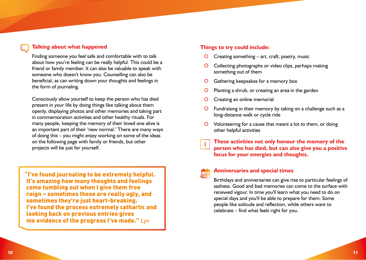### **Talking about what happened**

Finding someone you feel safe and comfortable with to talk about how you're feeling can be really helpful. This could be a friend or family member. It can also be valuable to speak with someone who doesn't know you. Counselling can also be beneficial, as can writing down your thoughts and feelings in the form of journaling.

Consciously allow yourself to keep the person who has died present in your life by doing things like talking about them openly, displaying photos and other memories and taking part in commemoration activities and other healthy rituals. For many people, keeping the memory of their loved one alive is an important part of their 'new normal.' There are many ways of doing this – you might enjoy working on some of the ideas on the following page with family or friends, but other projects will be just for yourself.

"I've found journaling to be extremely helpful. It's amazing how many thoughts and feelings come tumbling out when I give them free reign – sometimes these are really ugly, and sometimes they're just heart-breaking. I've found the process extremely cathartic and looking back on previous entries gives me evidence of the progress I've made." Lyn

### **Things to try could include:**

- | Creating something art, craft, poetry, music
- Collecting photographs or video clips, perhaps making something out of them
- Gathering keepsakes for a memory box
- Planting a shrub, or creating an area in the garden
- | Creating an online memorial
- Fundraising in their memory by taking on a challenge such as a long-distance walk or cycle ride
- | Volunteering for a cause that meant a lot to them, or doing other helpful activities

## **These activities not only honour the memory of the person who has died, but can also give you a positive focus for your energies and thoughts.**

# 橅

#### **Anniversaries and special times**

Birthdays and anniversaries can give rise to particular feelings of sadness. Good and bad memories can come to the surface with renewed vigour. In time you'll learn what you need to do on special days and you'll be able to prepare for them. Some people like solitude and reflection, while others want to celebrate – find what feels right for you.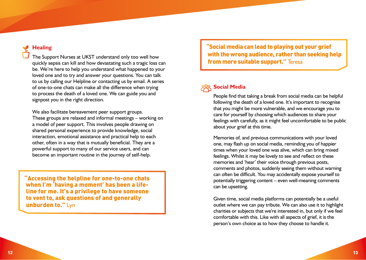# **Healing**

The Support Nurses at UKST understand only too well how quickly sepsis can kill and how devastating such a tragic loss can be. We're here to help you understand what happened to your loved one and to try and answer your questions. You can talk to us by calling our Helpline or contacting us by email. A series of one-to-one chats can make all the difference when trying to process the death of a loved one. We can guide you and signpost you in the right direction.

We also facilitate bereavement peer support groups. These groups are relaxed and informal meetings – working on a model of peer support. This involves people drawing on shared personal experience to provide knowledge, social interaction, emotional assistance and practical help to each other, often in a way that is mutually beneficial. They are a powerful support to many of our service users, and can become an important routine in the journey of self-help.

"Accessing the helpline for one-to-one chats when I'm 'having a moment' has been a lifeline for me. It's a privilege to have someone to vent to, ask questions of and generally unburden to." Lyn

"Social media can lead to playing out your grief with the wrong audience, rather than seeking help from more suitable support." Teresa

# 898 Social Media

People find that taking a break from social media can be helpful following the death of a loved one. It's important to recognise that you might be more vulnerable, and we encourage you to care for yourself by choosing which audiences to share your feelings with carefully, as it might feel uncomfortable to be public about your grief at this time.

Memories of, and previous communications with your loved one, may flash up on social media, reminding you of happier times when your loved one was alive, which can bring mixed feelings. Whilst it may be lovely to see and reflect on these memories and 'hear' their voice through previous posts, comments and photos, suddenly seeing them without warning can often be difficult. You may accidentally expose yourself to potentially triggering content – even well-meaning comments can be upsetting.

Given time, social media platforms can potentially be a useful outlet where we can pay tribute. We can also use it to highlight charities or subjects that we're interested in, but only if we feel comfortable with this. Like with all aspects of grief, it is the person's own choice as to how they choose to handle it.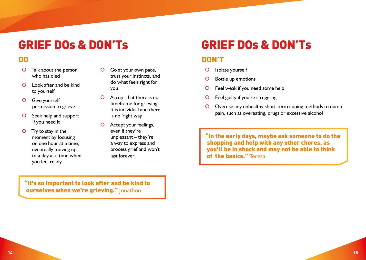# GRIEF DOs & DON'Ts

# DO

- | Talk about the person who has died
- | Look after and be kind to yourself
- O Give yourself permission to grieve
- O Seek help and support if you need it
- O Try to stay in the moment by focusing on one hour at a time, eventually moving up to a day at a time when you feel ready
- | Go at your own pace, trust your instincts, and do what feels right for you
- O Accept that there is no timeframe for grieving. It is individual and there is no 'right way'
- O Accept your feelings, even if they're unpleasant – they're a way to express and process grief and won't last forever

# GRIEF DOs & DON'Ts

# DON'T

- O Isolate yourself
- | Bottle up emotions
- O Feel weak if you need some help
- O Feel guilty if you're struggling
- | Overuse any unhealthy short-term coping methods to numb pain, such as overeating, drugs or excessive alcohol

"In the early days, maybe ask someone to do the shopping and help with any other chores, as you'll be in shock and may not be able to think of the basics." Teresa

"It's so important to look after and be kind to ourselves when we're grieving." Jonathon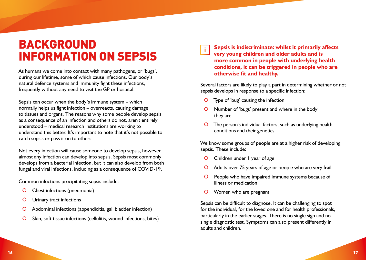# BACKGROUND INFORMATION ON SEPSIS

As humans we come into contact with many pathogens, or 'bugs', during our lifetime, some of which cause infections. Our body's natural defence systems and immunity fight these infections, frequently without any need to visit the GP or hospital.

Sepsis can occur when the body's immune system – which normally helps us fight infection – overreacts, causing damage to tissues and organs. The reasons why some people develop sepsis as a consequence of an infection and others do not, aren't entirely understood – medical research institutions are working to understand this better. It's important to note that it's not possible to catch sepsis or pass it on to others.

Not every infection will cause someone to develop sepsis, however almost any infection can develop into sepsis. Sepsis most commonly develops from a bacterial infection, but it can also develop from both fungal and viral infections, including as a consequence of COVID-19.

Common infections precipitating sepsis include:

- O Chest infections (pneumonia)
- **O** Urinary tract infections
- | Abdominal infections (appendicitis, gall bladder infection)
- | Skin, soft tissue infections (cellulitis, wound infections, bites)

**Sepsis is indiscriminate: whilst it primarily affects**   $\blacksquare$ **very young children and older adults and is more common in people with underlying health conditions, it can be triggered in people who are otherwise fit and healthy.** 

Several factors are likely to play a part in determining whether or not sepsis develops in response to a specific infection:

- | Type of 'bug' causing the infection
- | Number of 'bugs' present and where in the body they are
- The person's individual factors, such as underlying health conditions and their genetics

We know some groups of people are at a higher risk of developing sepsis. These include:

- O Children under I year of age
- O Adults over 75 years of age or people who are very frail
- O People who have impaired immune systems because of illness or medication
- O Women who are pregnant

Sepsis can be difficult to diagnose. It can be challenging to spot for the individual, for the loved one and for health professionals, particularly in the earlier stages. There is no single sign and no single diagnostic test. Symptoms can also present differently in adults and children.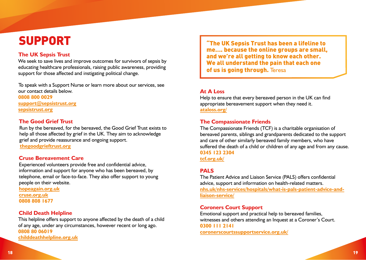# SUPPORT

## **The UK Sepsis Trust**

We seek to save lives and improve outcomes for survivors of sepsis by educating healthcare professionals, raising public awareness, providing support for those affected and instigating political change.

To speak with a Support Nurse or learn more about our services, see our contact details below. **0808 800 0029 support@sepsistrust.org [sepsistrust.org](www.sepsistrust.org)**

**The Good Grief Trust**

Run by the bereaved, for the bereaved, the Good Grief Trust exists to help all those affected by grief in the UK. They aim to acknowledge grief and provide reassurance and ongoing support.

**[thegoodgrieftrust.org](www.thegoodgrieftrust.org)**

#### **Cruse Bereavement Care**

Experienced volunteers provide free and confidential advice, information and support for anyone who has been bereaved, by telephone, email or face-to-face. They also offer support to young people on their website. **[hopeagain.org.uk](www.hopeagain.org.uk)**

**[cruse.org.uk](www.cruse.org.uk) 0808 808 1677**

## **Child Death Helpline**

This helpline offers support to anyone affected by the death of a child of any age, under any circumstances, however recent or long ago. **0808 80 06019 [childdeathhelpline.org.uk](www.childdeathhelpline.org.uk)**

"The UK Sepsis Trust has been a lifeline to me…. because the online groups are small, and we're all getting to know each other. We all understand the pain that each one of us is going through. Teresa

### **At A Loss**

Help to ensure that every bereaved person in the UK can find appropriate bereavement support when they need it. **[ataloss.org/](www.ataloss.org/)**

### **The Compassionate Friends**

The Compassionate Friends (TCF) is a charitable organisation of bereaved parents, siblings and grandparents dedicated to the support and care of other similarly bereaved family members, who have suffered the death of a child or children of any age and from any cause. **0345 123 2304 [tcf.org.uk/](www.tcf.org.uk/)**

## **PALS**

The Patient Advice and Liaison Service (PALS) offers confidential advice, support and information on health-related matters. **[nhs.uk/nhs-services/hospitals/what-is-pals-patient-advice-and](www.nhs.uk/nhs-services/hospitals/what-is-pals-patient-advice-andliaison-)liaison-service/**

### **Coroners Court Support**

Emotional support and practical help to bereaved families, witnesses and others attending an Inquest at a Coroner's Court. **0300 111 2141 [coronerscourtssupportservice.org.uk/](www.coronerscourtssupportservice.org.uk/)**